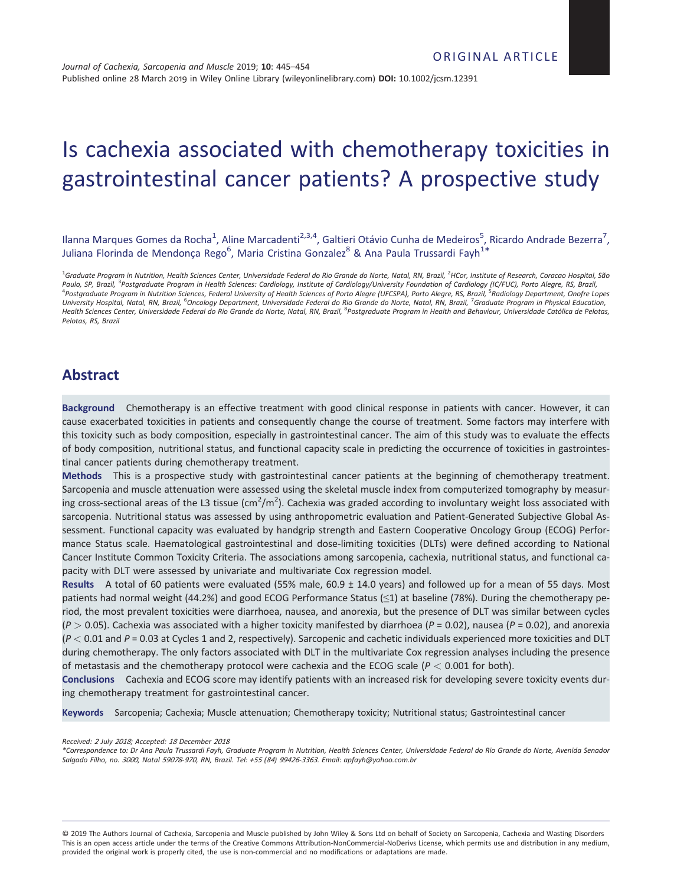# Is cachexia associated with chemotherapy toxicities in gastrointestinal cancer patients? A prospective study

Ilanna Marques Gomes da Rocha<sup>1</sup>, Aline Marcadenti<sup>2,3,4</sup>, Galtieri Otávio Cunha de Medeiros<sup>5</sup>, Ricardo Andrade Bezerra<sup>7</sup>, Juliana Florinda de Mendonça Rego<sup>6</sup>, Maria Cristina Gonzalez<sup>8</sup> & Ana Paula Trussardi Fayh<sup>1\*</sup>

<sup>1</sup>Graduate Program in Nutrition, Health Sciences Center, Universidade Federal do Rio Grande do Norte, Natal, RN, Brazil, <sup>2</sup>HCor, Institute of Research, Coracao Hospital, São *Paulo, SP, Brazil,* <sup>3</sup> *Postgraduate Program in Health Sciences: Cardiology, Institute of Cardiology/University Foundation of Cardiology (IC/FUC), Porto Alegre, RS, Brazil,* <sup>4</sup> *Postgraduate Program in Nutrition Sciences, Federal University of Health Sciences of Porto Alegre (UFCSPA), Porto Alegre, RS, Brazil,* <sup>5</sup> *Radiology Department, Onofre Lopes University Hospital, Natal, RN, Brazil,* <sup>6</sup> *Oncology Department, Universidade Federal do Rio Grande do Norte, Natal, RN, Brazil,* <sup>7</sup> *Graduate Program in Physical Education, Health Sciences Center, Universidade Federal do Rio Grande do Norte, Natal, RN, Brazil,* <sup>8</sup> *Postgraduate Program in Health and Behaviour, Universidade Católica de Pelotas, Pelotas, RS, Brazil*

# **Abstract**

**Background** Chemotherapy is an effective treatment with good clinical response in patients with cancer. However, it can cause exacerbated toxicities in patients and consequently change the course of treatment. Some factors may interfere with this toxicity such as body composition, especially in gastrointestinal cancer. The aim of this study was to evaluate the effects of body composition, nutritional status, and functional capacity scale in predicting the occurrence of toxicities in gastrointestinal cancer patients during chemotherapy treatment.

**Methods** This is a prospective study with gastrointestinal cancer patients at the beginning of chemotherapy treatment. Sarcopenia and muscle attenuation were assessed using the skeletal muscle index from computerized tomography by measuring cross-sectional areas of the L3 tissue (cm<sup>2</sup>/m<sup>2</sup>). Cachexia was graded according to involuntary weight loss associated with sarcopenia. Nutritional status was assessed by using anthropometric evaluation and Patient-Generated Subjective Global Assessment. Functional capacity was evaluated by handgrip strength and Eastern Cooperative Oncology Group (ECOG) Performance Status scale. Haematological gastrointestinal and dose-limiting toxicities (DLTs) were defined according to National Cancer Institute Common Toxicity Criteria. The associations among sarcopenia, cachexia, nutritional status, and functional capacity with DLT were assessed by univariate and multivariate Cox regression model.

**Results** A total of 60 patients were evaluated (55% male, 60.9 ± 14.0 years) and followed up for a mean of 55 days. Most patients had normal weight (44.2%) and good ECOG Performance Status  $(\leq 1)$  at baseline (78%). During the chemotherapy period, the most prevalent toxicities were diarrhoea, nausea, and anorexia, but the presence of DLT was similar between cycles  $(P > 0.05)$ . Cachexia was associated with a higher toxicity manifested by diarrhoea  $(P = 0.02)$ , nausea  $(P = 0.02)$ , and anorexia (*P <* 0.01 and *P* = 0.03 at Cycles 1 and 2, respectively). Sarcopenic and cachetic individuals experienced more toxicities and DLT during chemotherapy. The only factors associated with DLT in the multivariate Cox regression analyses including the presence of metastasis and the chemotherapy protocol were cachexia and the ECOG scale (*P <* 0.001 for both).

**Conclusions** Cachexia and ECOG score may identify patients with an increased risk for developing severe toxicity events during chemotherapy treatment for gastrointestinal cancer.

**Keywords** Sarcopenia; Cachexia; Muscle attenuation; Chemotherapy toxicity; Nutritional status; Gastrointestinal cancer

*Received: <sup>2</sup> July <sup>2018</sup>; Accepted: <sup>18</sup> December <sup>2018</sup>*

*\*Correspondence to: Dr Ana Paula Trussardi Fayh, Graduate Program in Nutrition, Health Sciences Center, Universidade Federal do Rio Grande do Norte, Avenida Senador Salgado Filho, no. <sup>3000</sup>, Natal <sup>59078</sup>-970, RN, Brazil. Tel: +<sup>55</sup> (84) <sup>99426</sup>-3363. Email*: *apfayh@yahoo.com.br*

© 2019 The Authors Journal of Cachexia, Sarcopenia and Muscle published by John Wiley & Sons Ltd on behalf of Society on Sarcopenia, Cachexia and Wasting Disorders This is an open access article under the terms of the Creative Commons Attribution-NonCommercial-NoDerivs License, which permits use and distribution in any medium, provided the original work is properly cited, the use is non-commercial and no modifications or adaptations are made.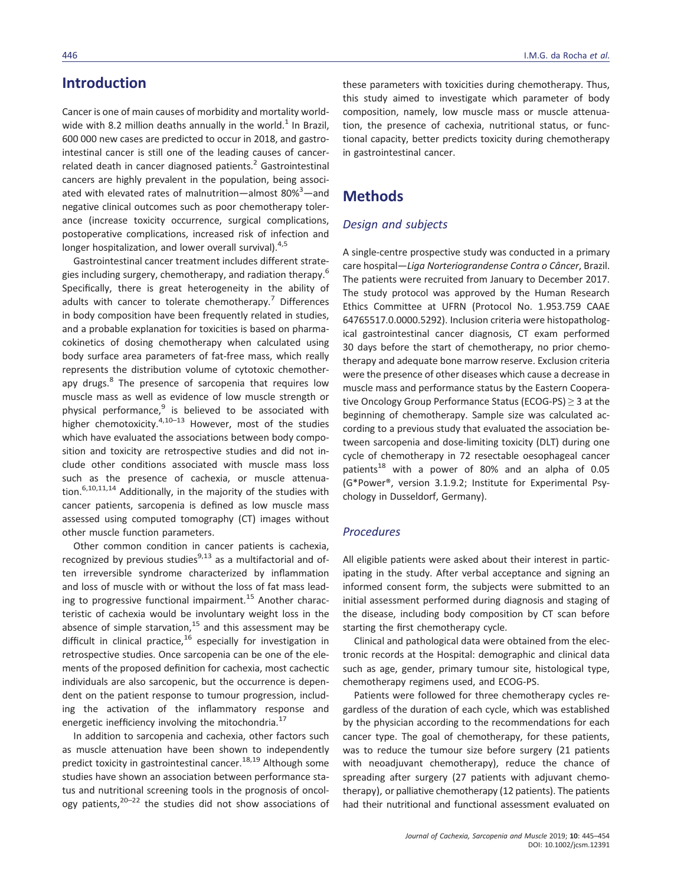# **Introduction**

Cancer is one of main causes of morbidity and mortality worldwide with 8.2 million deaths annually in the world.<sup>1</sup> In Brazil, 600 000 new cases are predicted to occur in 2018, and gastrointestinal cancer is still one of the leading causes of cancerrelated death in cancer diagnosed patients. $2$  Gastrointestinal cancers are highly prevalent in the population, being associated with elevated rates of malnutrition—almost 80%<sup>3</sup>—and negative clinical outcomes such as poor chemotherapy tolerance (increase toxicity occurrence, surgical complications, postoperative complications, increased risk of infection and longer hospitalization, and lower overall survival). $4,5$ 

Gastrointestinal cancer treatment includes different strategies including surgery, chemotherapy, and radiation therapy.<sup>6</sup> Specifically, there is great heterogeneity in the ability of adults with cancer to tolerate chemotherapy.<sup>7</sup> Differences in body composition have been frequently related in studies, and a probable explanation for toxicities is based on pharmacokinetics of dosing chemotherapy when calculated using body surface area parameters of fat-free mass, which really represents the distribution volume of cytotoxic chemotherapy drugs.<sup>8</sup> The presence of sarcopenia that requires low muscle mass as well as evidence of low muscle strength or physical performance.<sup>9</sup> is believed to be associated with higher chemotoxicity.<sup>4,10–13</sup> However, most of the studies which have evaluated the associations between body composition and toxicity are retrospective studies and did not include other conditions associated with muscle mass loss such as the presence of cachexia, or muscle attenuation.<sup>6,10,11,14</sup> Additionally, in the majority of the studies with cancer patients, sarcopenia is defined as low muscle mass assessed using computed tomography (CT) images without other muscle function parameters.

Other common condition in cancer patients is cachexia, recognized by previous studies $9,13$  as a multifactorial and often irreversible syndrome characterized by inflammation and loss of muscle with or without the loss of fat mass leading to progressive functional impairment.<sup>15</sup> Another characteristic of cachexia would be involuntary weight loss in the absence of simple starvation, $15$  and this assessment may be difficult in clinical practice, $16$  especially for investigation in retrospective studies. Once sarcopenia can be one of the elements of the proposed definition for cachexia, most cachectic individuals are also sarcopenic, but the occurrence is dependent on the patient response to tumour progression, including the activation of the inflammatory response and energetic inefficiency involving the mitochondria.<sup>17</sup>

In addition to sarcopenia and cachexia, other factors such as muscle attenuation have been shown to independently predict toxicity in gastrointestinal cancer.<sup>18,19</sup> Although some studies have shown an association between performance status and nutritional screening tools in the prognosis of oncology patients, $20-22$  the studies did not show associations of

these parameters with toxicities during chemotherapy. Thus, this study aimed to investigate which parameter of body composition, namely, low muscle mass or muscle attenuation, the presence of cachexia, nutritional status, or functional capacity, better predicts toxicity during chemotherapy in gastrointestinal cancer.

## **Methods**

#### *Design and subjects*

A single-centre prospective study was conducted in a primary care hospital—*Liga Norteriograndense Contra o Câncer*, Brazil. The patients were recruited from January to December 2017. The study protocol was approved by the Human Research Ethics Committee at UFRN (Protocol No. 1.953.759 CAAE 64765517.0.0000.5292). Inclusion criteria were histopathological gastrointestinal cancer diagnosis, CT exam performed 30 days before the start of chemotherapy, no prior chemotherapy and adequate bone marrow reserve. Exclusion criteria were the presence of other diseases which cause a decrease in muscle mass and performance status by the Eastern Cooperative Oncology Group Performance Status (ECOG-PS) ≥ 3 at the beginning of chemotherapy. Sample size was calculated according to a previous study that evaluated the association between sarcopenia and dose-limiting toxicity (DLT) during one cycle of chemotherapy in 72 resectable oesophageal cancer patients<sup>18</sup> with a power of 80% and an alpha of 0.05 (G\*Power®, version 3.1.9.2; Institute for Experimental Psychology in Dusseldorf, Germany).

#### *Procedures*

All eligible patients were asked about their interest in participating in the study. After verbal acceptance and signing an informed consent form, the subjects were submitted to an initial assessment performed during diagnosis and staging of the disease, including body composition by CT scan before starting the first chemotherapy cycle.

Clinical and pathological data were obtained from the electronic records at the Hospital: demographic and clinical data such as age, gender, primary tumour site, histological type, chemotherapy regimens used, and ECOG-PS.

Patients were followed for three chemotherapy cycles regardless of the duration of each cycle, which was established by the physician according to the recommendations for each cancer type. The goal of chemotherapy, for these patients, was to reduce the tumour size before surgery (21 patients with neoadjuvant chemotherapy), reduce the chance of spreading after surgery (27 patients with adjuvant chemotherapy), or palliative chemotherapy (12 patients). The patients had their nutritional and functional assessment evaluated on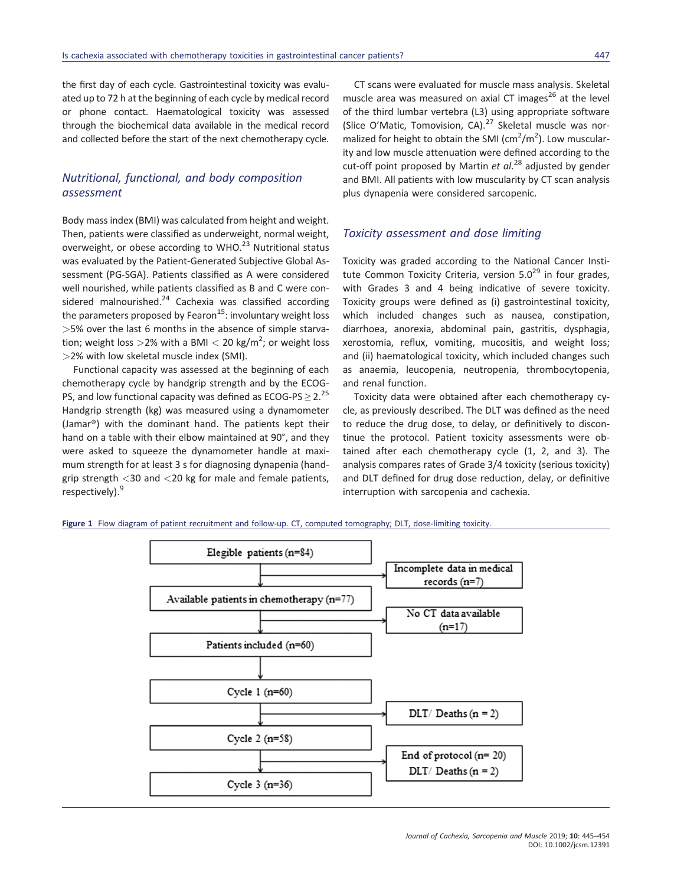the first day of each cycle. Gastrointestinal toxicity was evaluated up to 72 h at the beginning of each cycle by medical record or phone contact. Haematological toxicity was assessed through the biochemical data available in the medical record and collected before the start of the next chemotherapy cycle.

## *Nutritional, functional, and body composition assessment*

Body mass index (BMI) was calculated from height and weight. Then, patients were classified as underweight, normal weight, overweight, or obese according to WHO.<sup>23</sup> Nutritional status was evaluated by the Patient-Generated Subjective Global Assessment (PG-SGA). Patients classified as A were considered well nourished, while patients classified as B and C were considered malnourished. $24$  Cachexia was classified according the parameters proposed by Fearon $15$ : involuntary weight loss *>*5% over the last 6 months in the absence of simple starvation; weight loss *>*2% with a BMI *<* 20 kg/m<sup>2</sup> ; or weight loss *>*2% with low skeletal muscle index (SMI).

Functional capacity was assessed at the beginning of each chemotherapy cycle by handgrip strength and by the ECOG-PS, and low functional capacity was defined as ECOG-PS  $\geq$  2.<sup>25</sup> Handgrip strength (kg) was measured using a dynamometer (Jamar®) with the dominant hand. The patients kept their hand on a table with their elbow maintained at 90°, and they were asked to squeeze the dynamometer handle at maximum strength for at least 3 s for diagnosing dynapenia (handgrip strength *<*30 and *<*20 kg for male and female patients, respectively).<sup>9</sup>

CT scans were evaluated for muscle mass analysis. Skeletal muscle area was measured on axial CT images<sup>26</sup> at the level of the third lumbar vertebra (L3) using appropriate software (Slice O'Matic, Tomovision, CA). $27$  Skeletal muscle was normalized for height to obtain the SMI ( $\text{cm}^2/\text{m}^2$ ). Low muscularity and low muscle attenuation were defined according to the cut-off point proposed by Martin *et al*. <sup>28</sup> adjusted by gender and BMI. All patients with low muscularity by CT scan analysis plus dynapenia were considered sarcopenic.

#### *Toxicity assessment and dose limiting*

Toxicity was graded according to the National Cancer Institute Common Toxicity Criteria, version  $5.0^{29}$  in four grades, with Grades 3 and 4 being indicative of severe toxicity. Toxicity groups were defined as (i) gastrointestinal toxicity, which included changes such as nausea, constipation, diarrhoea, anorexia, abdominal pain, gastritis, dysphagia, xerostomia, reflux, vomiting, mucositis, and weight loss; and (ii) haematological toxicity, which included changes such as anaemia, leucopenia, neutropenia, thrombocytopenia, and renal function.

Toxicity data were obtained after each chemotherapy cycle, as previously described. The DLT was defined as the need to reduce the drug dose, to delay, or definitively to discontinue the protocol. Patient toxicity assessments were obtained after each chemotherapy cycle (1, 2, and 3). The analysis compares rates of Grade 3/4 toxicity (serious toxicity) and DLT defined for drug dose reduction, delay, or definitive interruption with sarcopenia and cachexia.

**Figure 1** Flow diagram of patient recruitment and follow-up. CT, computed tomography; DLT, dose-limiting toxicity.

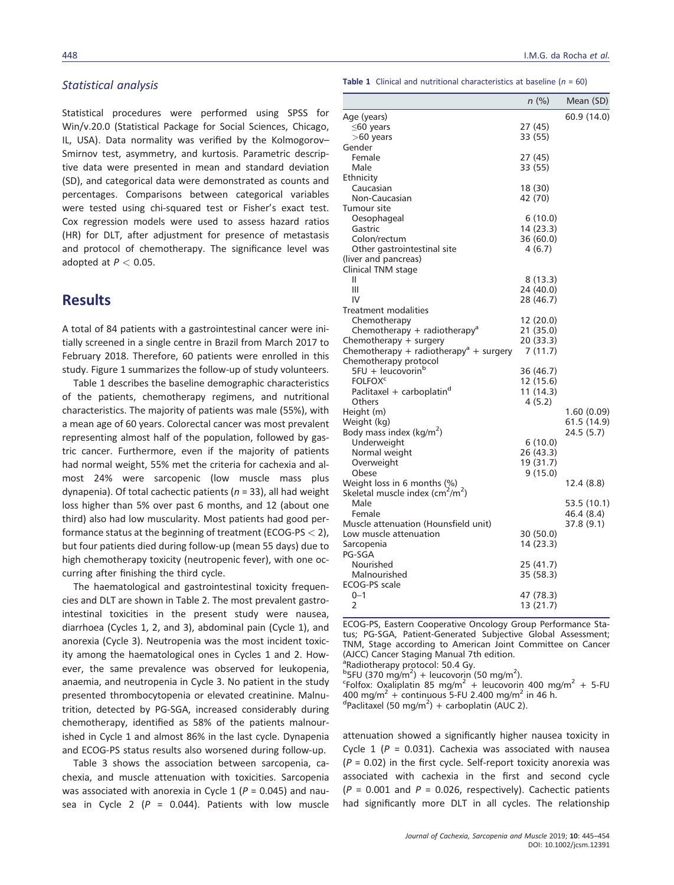#### *Statistical analysis*

Statistical procedures were performed using SPSS for Win/v.20.0 (Statistical Package for Social Sciences, Chicago, IL, USA). Data normality was verified by the Kolmogorov– Smirnov test, asymmetry, and kurtosis. Parametric descriptive data were presented in mean and standard deviation (SD), and categorical data were demonstrated as counts and percentages. Comparisons between categorical variables were tested using chi-squared test or Fisher's exact test. Cox regression models were used to assess hazard ratios (HR) for DLT, after adjustment for presence of metastasis and protocol of chemotherapy. The significance level was adopted at *P <* 0.05.

# **Results**

A total of 84 patients with a gastrointestinal cancer were initially screened in a single centre in Brazil from March 2017 to February 2018. Therefore, 60 patients were enrolled in this study. Figure 1 summarizes the follow-up of study volunteers.

Table 1 describes the baseline demographic characteristics of the patients, chemotherapy regimens, and nutritional characteristics. The majority of patients was male (55%), with a mean age of 60 years. Colorectal cancer was most prevalent representing almost half of the population, followed by gastric cancer. Furthermore, even if the majority of patients had normal weight, 55% met the criteria for cachexia and almost 24% were sarcopenic (low muscle mass plus dynapenia). Of total cachectic patients (*n* = 33), all had weight loss higher than 5% over past 6 months, and 12 (about one third) also had low muscularity. Most patients had good performance status at the beginning of treatment (ECOG-PS *<* 2), but four patients died during follow-up (mean 55 days) due to high chemotherapy toxicity (neutropenic fever), with one occurring after finishing the third cycle.

The haematological and gastrointestinal toxicity frequencies and DLT are shown in Table 2. The most prevalent gastrointestinal toxicities in the present study were nausea, diarrhoea (Cycles 1, 2, and 3), abdominal pain (Cycle 1), and anorexia (Cycle 3). Neutropenia was the most incident toxicity among the haematological ones in Cycles 1 and 2. However, the same prevalence was observed for leukopenia, anaemia, and neutropenia in Cycle 3. No patient in the study presented thrombocytopenia or elevated creatinine. Malnutrition, detected by PG-SGA, increased considerably during chemotherapy, identified as 58% of the patients malnourished in Cycle 1 and almost 86% in the last cycle. Dynapenia and ECOG-PS status results also worsened during follow-up.

Table 3 shows the association between sarcopenia, cachexia, and muscle attenuation with toxicities. Sarcopenia was associated with anorexia in Cycle 1 (*P* = 0.045) and nausea in Cycle 2 ( $P = 0.044$ ). Patients with low muscle **Table 1** Clinical and nutritional characteristics at baseline (*n* = 60)

|                                                          | $n$ (%)   | Mean (SD)   |
|----------------------------------------------------------|-----------|-------------|
| Age (years)                                              |           | 60.9 (14.0) |
| $\leq$ 60 years                                          | 27 (45)   |             |
| $>60$ years                                              | 33 (55)   |             |
| Gender                                                   |           |             |
| Female                                                   | 27 (45)   |             |
| Male                                                     | 33 (55)   |             |
| Ethnicity                                                |           |             |
| Caucasian                                                | 18 (30)   |             |
| Non-Caucasian                                            | 42 (70)   |             |
| Tumour site                                              |           |             |
| Oesophageal                                              | 6(10.0)   |             |
| Gastric                                                  | 14 (23.3) |             |
| Colon/rectum                                             | 36 (60.0) |             |
| Other gastrointestinal site                              | 4 (6.7)   |             |
| (liver and pancreas)                                     |           |             |
| Clinical TNM stage                                       |           |             |
| Ш                                                        | 8 (13.3)  |             |
| Ш                                                        | 24 (40.0) |             |
| IV                                                       | 28 (46.7) |             |
| Treatment modalities                                     |           |             |
| Chemotherapy                                             | 12 (20.0) |             |
| Chemotherapy + radiotherapy <sup>a</sup>                 | 21 (35.0) |             |
| Chemotherapy + surgery                                   | 20 (33.3) |             |
| Chemotherapy + radiotherapy <sup>a</sup> + surgery       | 7(11.7)   |             |
| Chemotherapy protocol                                    |           |             |
| $5FU + leucovorinb$                                      | 36 (46.7) |             |
| <b>FOLFOX<sup>c</sup></b>                                | 12 (15.6) |             |
| Paclitaxel + carboplatin <sup>d</sup>                    | 11 (14.3) |             |
| Others                                                   | 4 (5.2)   |             |
| Height (m)                                               |           | 1.60(0.09)  |
| Weight (kg)                                              |           | 61.5 (14.9) |
| Body mass index ( $kg/m2$ )                              |           | 24.5 (5.7)  |
| Underweight                                              | 6(10.0)   |             |
| Normal weight                                            | 26 (43.3) |             |
| Overweight                                               | 19 (31.7) |             |
| Obese                                                    | 9(15.0)   |             |
| Weight loss in 6 months (%)                              |           | 12.4 (8.8)  |
| Skeletal muscle index (cm <sup>2</sup> /m <sup>2</sup> ) |           |             |
| Male                                                     |           | 53.5 (10.1) |
| Female                                                   |           | 46.4 (8.4)  |
| Muscle attenuation (Hounsfield unit)                     |           | 37.8 (9.1)  |
| Low muscle attenuation                                   | 30 (50.0) |             |
| Sarcopenia                                               | 14 (23.3) |             |
| PG-SGA                                                   |           |             |
| Nourished                                                | 25 (41.7) |             |
| Malnourished                                             | 35 (58.3) |             |
| <b>ECOG-PS</b> scale                                     |           |             |
| $0 - 1$                                                  | 47 (78.3) |             |
| 2                                                        | 13 (21.7) |             |

ECOG-PS, Eastern Cooperative Oncology Group Performance Status; PG-SGA, Patient-Generated Subjective Global Assessment; TNM, Stage according to American Joint Committee on Cancer (AJCC) Cancer Staging Manual 7th edition.

a Radiotherapy protocol: 50.4 Gy.

<sup>b</sup> SFU (370 mg/m<sup>2</sup>) + leucovorin (50 mg/m<sup>2</sup>).<br>SFO fox: Oxalinatin 85 mg/m<sup>2</sup> + leucovorin

Folfox: Oxaliplatin 85 mg/m<sup>2</sup> + leucovorin 400 mg/m<sup>2</sup> + 5-FU 400 mg/m<sup>2</sup> + continuous 5-FU 2.400 mg/m<sup>2</sup> in 46 h.

Paclitaxel (50 mg/m<sup>2</sup>) + carboplatin (AUC 2).

attenuation showed a significantly higher nausea toxicity in Cycle 1 ( $P = 0.031$ ). Cachexia was associated with nausea (*P* = 0.02) in the first cycle. Self-report toxicity anorexia was associated with cachexia in the first and second cycle  $(P = 0.001$  and  $P = 0.026$ , respectively). Cachectic patients had significantly more DLT in all cycles. The relationship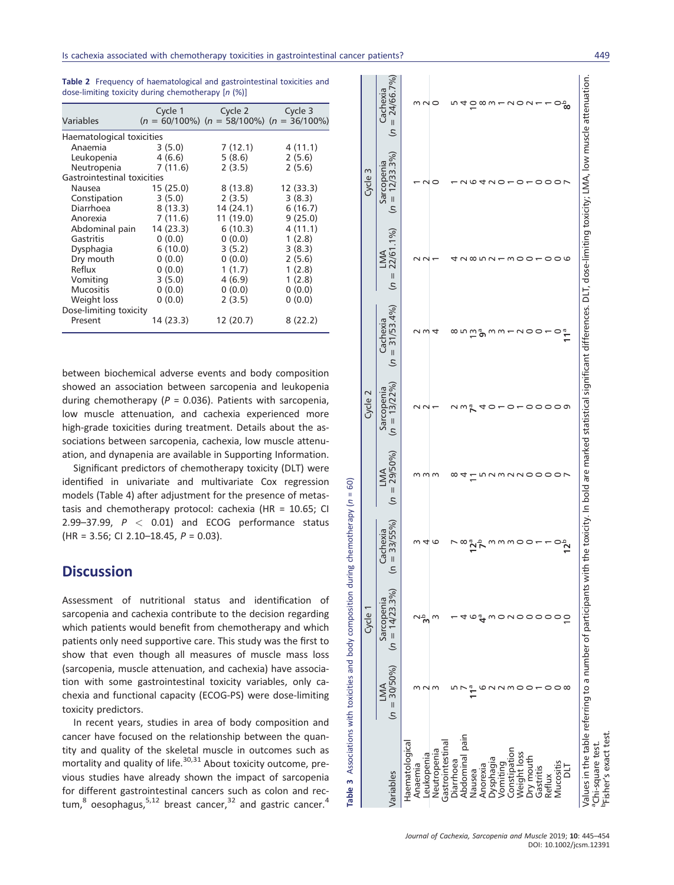| Variables                   | Cycle 1   | Cycle 2<br>$(n = 60/100\%)$ $(n = 58/100\%)$ $(n = 36/100\%)$ | Cycle 3  |
|-----------------------------|-----------|---------------------------------------------------------------|----------|
| Haematological toxicities   |           |                                                               |          |
| Anaemia                     | 3(5.0)    | 7(12.1)                                                       | 4(11.1)  |
| Leukopenia                  | 4(6.6)    | 5(8.6)                                                        | 2(5.6)   |
| Neutropenia                 | 7(11.6)   | 2(3.5)                                                        | 2(5.6)   |
| Gastrointestinal toxicities |           |                                                               |          |
| Nausea                      | 15(25.0)  | 8(13.8)                                                       | 12(33.3) |
| Constipation                | 3(5.0)    | 2(3.5)                                                        | 3(8.3)   |
| Diarrhoea                   | 8(13.3)   | 14 (24.1)                                                     | 6(16.7)  |
| Anorexia                    | 7(11.6)   | 11 (19.0)                                                     | 9(25.0)  |
| Abdominal pain              | 14(23.3)  | 6(10.3)                                                       | 4(11.1)  |
| Gastritis                   | 0(0.0)    | 0(0.0)                                                        | 1(2.8)   |
| Dysphagia                   | 6(10.0)   | 3(5.2)                                                        | 3(8.3)   |
| Dry mouth                   | 0(0.0)    | 0(0.0)                                                        | 2(5.6)   |
| Reflux                      | 0(0.0)    | 1(1.7)                                                        | 1(2.8)   |
| Vomiting                    | 3(5.0)    | 4(6.9)                                                        | 1(2.8)   |
| <b>Mucositis</b>            | 0(0.0)    | 0(0.0)                                                        | 0(0.0)   |
| Weight loss                 | 0(0.0)    | 2(3.5)                                                        | 0(0.0)   |
| Dose-limiting toxicity      |           |                                                               |          |
| Present                     | 14 (23.3) | 12 (20.7)                                                     | 8(22.2)  |

**Table 2** Frequency of haematological and gastrointestinal toxicities and dose-limiting toxicity during chemotherapy [*n* (%)]

between biochemical adverse events and body composition showed an association between sarcopenia and leukopenia during chemotherapy (*P* = 0.036). Patients with sarcopenia, low muscle attenuation, and cachexia experienced more high-grade toxicities during treatment. Details about the associations between sarcopenia, cachexia, low muscle attenuation, and dynapenia are available in Supporting Information.

Significant predictors of chemotherapy toxicity (DLT) were identified in univariate and multivariate Cox regression models (Table 4) after adjustment for the presence of metastasis and chemotherapy protocol: cachexia (HR = 10.65; CI 2.99–37.99, *P <* 0.01) and ECOG performance status (HR = 3.56; CI 2.10–18.45, *P* = 0.03).

## **Discussion**

Assessment of nutritional status and identification of sarcopenia and cachexia contribute to the decision regarding which patients would benefit from chemotherapy and which patients only need supportive care. This study was the first to show that even though all measures of muscle mass loss (sarcopenia, muscle attenuation, and cachexia) have association with some gastrointestinal toxicity variables, only cachexia and functional capacity (ECOG-PS) were dose-limiting toxicity predictors.

**Table 3** Associations with toxicities and body composition during chemotherapy (*n* = 60)

body and

Associations with toxicities

Table 3

composition during chemotherapy (n =

60)  $\mathbf{u}$ 

In recent years, studies in area of body composition and cancer have focused on the relationship between the quantity and quality of the skeletal muscle in outcomes such as mortality and quality of life.<sup>30,31</sup> About toxicity outcome, previous studies have already shown the impact of sarcopenia for different gastrointestinal cancers such as colon and rectum, $8$  oesophagus, $5,12$  breast cancer, $32$  and gastric cancer.<sup>4</sup>

|                                                                  |                        | Cycle 1                         |                                                |                          | Cycle 2                       |                               |                                                                                                                                                                                                | Cycle 3                         |                               |
|------------------------------------------------------------------|------------------------|---------------------------------|------------------------------------------------|--------------------------|-------------------------------|-------------------------------|------------------------------------------------------------------------------------------------------------------------------------------------------------------------------------------------|---------------------------------|-------------------------------|
| Variables                                                        | $(n = 30/50\%)$<br>LMA | $(n = 14/23.3\%)$<br>Sarcopenia | $(n = 33/55\%)$<br>Cachexia                    | 29/50%)<br>LMA<br>$=$ n) | $(n = 13/22\%)$<br>Sarcopenia | $= 31/53.4%$<br>Cachexia<br>S | 22/61.1%)<br>LMA<br>$n =$                                                                                                                                                                      | $(n = 12/33.3\%)$<br>Sarcopenia | $(n = 24/66.7\%)$<br>Cachexia |
| Haematological<br>Anaemia                                        |                        |                                 |                                                |                          |                               |                               |                                                                                                                                                                                                |                                 |                               |
| Leukopenia                                                       |                        |                                 | 4                                              |                          |                               |                               |                                                                                                                                                                                                |                                 |                               |
| Neutropenia                                                      |                        | r                               | G                                              |                          |                               |                               |                                                                                                                                                                                                |                                 |                               |
| Gastrointestinal                                                 |                        |                                 |                                                |                          |                               |                               |                                                                                                                                                                                                |                                 |                               |
| Diarrhoea                                                        |                        |                                 |                                                |                          |                               |                               |                                                                                                                                                                                                |                                 |                               |
| Abdominal pain                                                   |                        |                                 | ∞                                              |                          |                               |                               |                                                                                                                                                                                                |                                 |                               |
| Nausea                                                           |                        |                                 | $\mathbf{\tilde{2}}^{\mathsf{a}}_{\mathsf{b}}$ |                          |                               | Ω                             |                                                                                                                                                                                                |                                 |                               |
| Anorexia                                                         |                        |                                 |                                                |                          |                               | ზ                             |                                                                                                                                                                                                |                                 | ∞ m                           |
| Dysphagia                                                        |                        |                                 |                                                |                          |                               | m                             |                                                                                                                                                                                                | C                               |                               |
| Vomiting                                                         |                        |                                 |                                                |                          |                               |                               |                                                                                                                                                                                                |                                 |                               |
| Constipation                                                     |                        |                                 | mmo                                            |                          |                               |                               |                                                                                                                                                                                                |                                 | C                             |
| Weight loss                                                      |                        |                                 |                                                | 1                        |                               |                               |                                                                                                                                                                                                |                                 |                               |
| Dry mouth                                                        |                        |                                 |                                                |                          |                               |                               |                                                                                                                                                                                                |                                 |                               |
| Gastritis                                                        |                        |                                 |                                                |                          |                               |                               |                                                                                                                                                                                                |                                 |                               |
| Reflux                                                           |                        |                                 |                                                | $\circ$                  | C                             |                               |                                                                                                                                                                                                |                                 |                               |
| Mucositis                                                        |                        |                                 |                                                | $\circ$                  | ၁ ၀ ၈                         |                               |                                                                                                                                                                                                |                                 |                               |
| <b>TIC</b>                                                       | ∝                      | $\overline{0}$                  | <u>ק</u> ّ                                     |                          |                               | 11 <sup>a</sup>               | ιc                                                                                                                                                                                             |                                 | ిౚఄ                           |
| <sup>p</sup> Fisher's exact test<br><sup>a</sup> Chi-square test |                        |                                 |                                                |                          |                               |                               | Values in the table referring to a number of participants with the toxicity. In bold are marked statistical significant differences. DLT, dose-limiting toxicity; LMA, low muscle attenuation. |                                 |                               |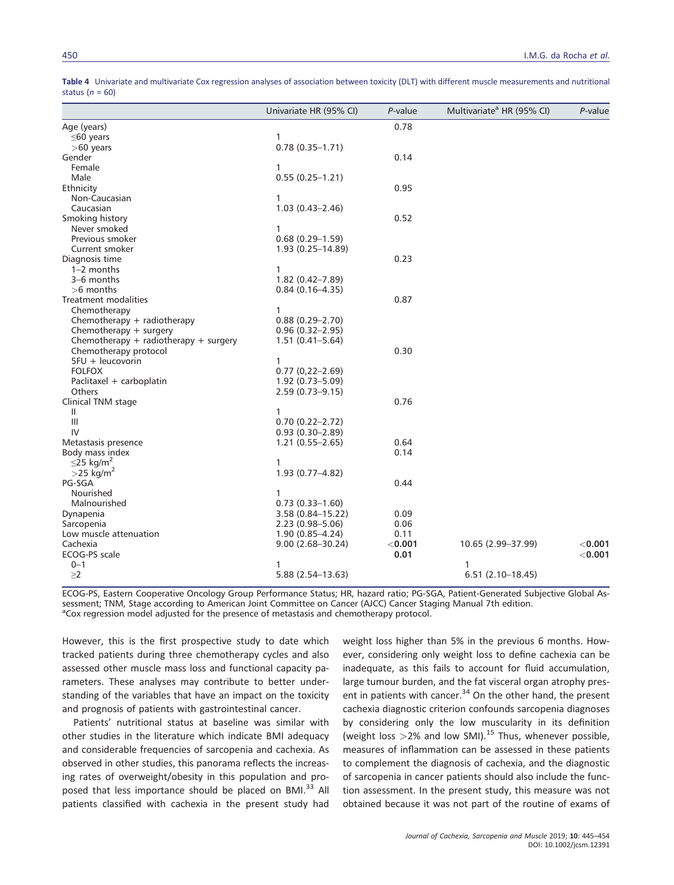|                                       | Univariate HR (95% CI) | P-value   | Multivariate <sup>a</sup> HR (95% CI) | P-value   |
|---------------------------------------|------------------------|-----------|---------------------------------------|-----------|
| Age (years)                           |                        | 0.78      |                                       |           |
| $\leq$ 60 years                       | 1                      |           |                                       |           |
| $>60$ years                           | $0.78(0.35 - 1.71)$    |           |                                       |           |
| Gender                                |                        | 0.14      |                                       |           |
| Female                                | 1                      |           |                                       |           |
| Male                                  | $0.55(0.25 - 1.21)$    |           |                                       |           |
| Ethnicity                             |                        | 0.95      |                                       |           |
| Non-Caucasian                         | 1                      |           |                                       |           |
| Caucasian                             | $1.03(0.43 - 2.46)$    |           |                                       |           |
| Smoking history                       |                        | 0.52      |                                       |           |
| Never smoked                          | 1                      |           |                                       |           |
| Previous smoker                       | $0.68(0.29-1.59)$      |           |                                       |           |
| Current smoker                        | $1.93(0.25 - 14.89)$   |           |                                       |           |
| Diagnosis time                        |                        | 0.23      |                                       |           |
| $1-2$ months                          | 1                      |           |                                       |           |
| 3-6 months                            | $1.82(0.42 - 7.89)$    |           |                                       |           |
| $>6$ months                           | $0.84(0.16 - 4.35)$    |           |                                       |           |
| Treatment modalities                  |                        | 0.87      |                                       |           |
| Chemotherapy                          | 1                      |           |                                       |           |
| Chemotherapy + radiotherapy           | $0.88(0.29 - 2.70)$    |           |                                       |           |
| Chemotherapy + surgery                | $0.96(0.32 - 2.95)$    |           |                                       |           |
| Chemotherapy + radiotherapy + surgery | $1.51(0.41 - 5.64)$    |           |                                       |           |
| Chemotherapy protocol                 |                        | 0.30      |                                       |           |
| 5FU + leucovorin                      | 1                      |           |                                       |           |
| <b>FOLFOX</b>                         | $0.77(0.22 - 2.69)$    |           |                                       |           |
| Paclitaxel + carboplatin              | $1.92(0.73 - 5.09)$    |           |                                       |           |
| Others                                | $2.59(0.73 - 9.15)$    |           |                                       |           |
| Clinical TNM stage                    |                        | 0.76      |                                       |           |
| Ш                                     | 1                      |           |                                       |           |
| $\mathbf{III}$                        | $0.70(0.22 - 2.72)$    |           |                                       |           |
| IV                                    | $0.93(0.30-2.89)$      |           |                                       |           |
| Metastasis presence                   | $1.21(0.55 - 2.65)$    | 0.64      |                                       |           |
| Body mass index                       |                        | 0.14      |                                       |           |
| $\leq$ 25 kg/m <sup>2</sup>           | 1                      |           |                                       |           |
| $>$ 25 kg/m <sup>2</sup>              | $1.93(0.77 - 4.82)$    |           |                                       |           |
| PG-SGA                                |                        | 0.44      |                                       |           |
| Nourished                             | 1                      |           |                                       |           |
| Malnourished                          | $0.73(0.33 - 1.60)$    |           |                                       |           |
| Dynapenia                             | $3.58(0.84 - 15.22)$   | 0.09      |                                       |           |
| Sarcopenia                            | $2.23(0.98 - 5.06)$    | 0.06      |                                       |           |
| Low muscle attenuation                | $1.90(0.85 - 4.24)$    | 0.11      |                                       |           |
| Cachexia                              | $9.00(2.68 - 30.24)$   | $<$ 0.001 | 10.65 (2.99-37.99)                    | $<$ 0.001 |
| ECOG-PS scale                         |                        | 0.01      |                                       | < 0.001   |
| $0 - 1$                               | 1                      |           | 1                                     |           |
| $\geq$ 2                              | 5.88 (2.54-13.63)      |           | $6.51(2.10-18.45)$                    |           |

**Table 4** Univariate and multivariate Cox regression analyses of association between toxicity (DLT) with different muscle measurements and nutritional status (*n* = 60)

ECOG-PS, Eastern Cooperative Oncology Group Performance Status; HR, hazard ratio; PG-SGA, Patient-Generated Subjective Global Assessment; TNM, Stage according to American Joint Committee on Cancer (AJCC) Cancer Staging Manual 7th edition. <sup>a</sup>Cox regression model adjusted for the presence of metastasis and chemotherapy protocol.

However, this is the first prospective study to date which tracked patients during three chemotherapy cycles and also assessed other muscle mass loss and functional capacity parameters. These analyses may contribute to better understanding of the variables that have an impact on the toxicity and prognosis of patients with gastrointestinal cancer.

Patients' nutritional status at baseline was similar with other studies in the literature which indicate BMI adequacy and considerable frequencies of sarcopenia and cachexia. As observed in other studies, this panorama reflects the increasing rates of overweight/obesity in this population and proposed that less importance should be placed on BMI.<sup>33</sup> All patients classified with cachexia in the present study had weight loss higher than 5% in the previous 6 months. However, considering only weight loss to define cachexia can be inadequate, as this fails to account for fluid accumulation, large tumour burden, and the fat visceral organ atrophy present in patients with cancer.<sup>34</sup> On the other hand, the present cachexia diagnostic criterion confounds sarcopenia diagnoses by considering only the low muscularity in its definition (weight loss  $>$ 2% and low SMI).<sup>15</sup> Thus, whenever possible, measures of inflammation can be assessed in these patients to complement the diagnosis of cachexia, and the diagnostic of sarcopenia in cancer patients should also include the function assessment. In the present study, this measure was not obtained because it was not part of the routine of exams of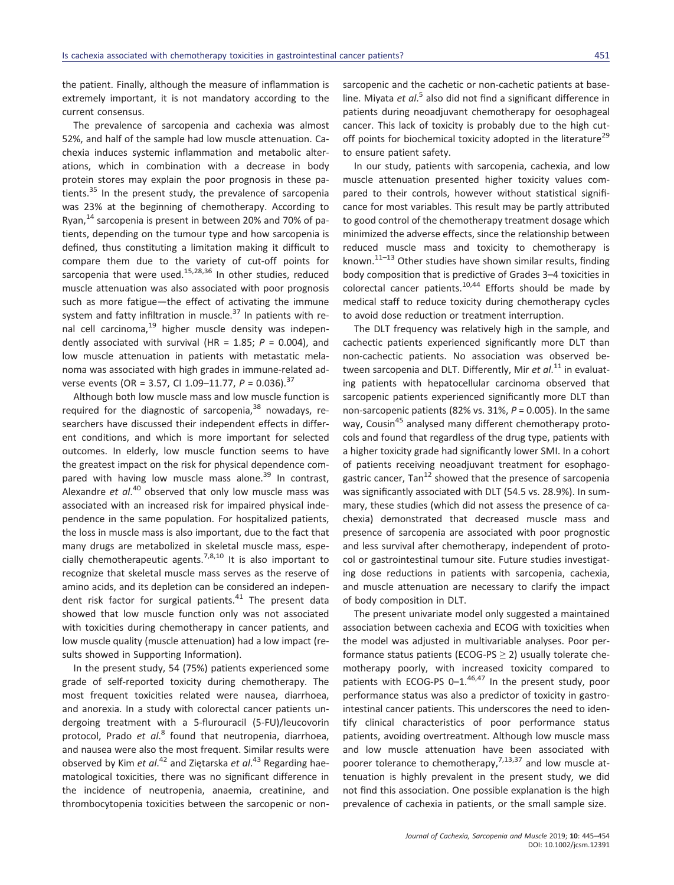the patient. Finally, although the measure of inflammation is extremely important, it is not mandatory according to the current consensus.

The prevalence of sarcopenia and cachexia was almost 52%, and half of the sample had low muscle attenuation. Cachexia induces systemic inflammation and metabolic alterations, which in combination with a decrease in body protein stores may explain the poor prognosis in these patients.<sup>35</sup> In the present study, the prevalence of sarcopenia was 23% at the beginning of chemotherapy. According to Ryan, $^{14}$  sarcopenia is present in between 20% and 70% of patients, depending on the tumour type and how sarcopenia is defined, thus constituting a limitation making it difficult to compare them due to the variety of cut-off points for sarcopenia that were used.<sup>15,28,36</sup> In other studies, reduced muscle attenuation was also associated with poor prognosis such as more fatigue—the effect of activating the immune system and fatty infiltration in muscle.<sup>37</sup> In patients with renal cell carcinoma, $19$  higher muscle density was independently associated with survival (HR = 1.85; *P* = 0.004), and low muscle attenuation in patients with metastatic melanoma was associated with high grades in immune-related adverse events (OR = 3.57, CI 1.09–11.77, *P* = 0.036).<sup>37</sup>

Although both low muscle mass and low muscle function is required for the diagnostic of sarcopenia, $38$  nowadays, researchers have discussed their independent effects in different conditions, and which is more important for selected outcomes. In elderly, low muscle function seems to have the greatest impact on the risk for physical dependence compared with having low muscle mass alone.<sup>39</sup> In contrast, Alexandre *et al*. <sup>40</sup> observed that only low muscle mass was associated with an increased risk for impaired physical independence in the same population. For hospitalized patients, the loss in muscle mass is also important, due to the fact that many drugs are metabolized in skeletal muscle mass, especially chemotherapeutic agents.<sup>7,8,10</sup> It is also important to recognize that skeletal muscle mass serves as the reserve of amino acids, and its depletion can be considered an independent risk factor for surgical patients.<sup>41</sup> The present data showed that low muscle function only was not associated with toxicities during chemotherapy in cancer patients, and low muscle quality (muscle attenuation) had a low impact (results showed in Supporting Information).

In the present study, 54 (75%) patients experienced some grade of self-reported toxicity during chemotherapy. The most frequent toxicities related were nausea, diarrhoea, and anorexia. In a study with colorectal cancer patients undergoing treatment with a 5-flurouracil (5-FU)/leucovorin protocol, Prado *et al*. <sup>8</sup> found that neutropenia, diarrhoea, and nausea were also the most frequent. Similar results were observed by Kim *et al*. <sup>42</sup> and Ziętarska *et al*. <sup>43</sup> Regarding haematological toxicities, there was no significant difference in the incidence of neutropenia, anaemia, creatinine, and thrombocytopenia toxicities between the sarcopenic or nonsarcopenic and the cachetic or non-cachetic patients at baseline. Miyata *et al*.<sup>5</sup> also did not find a significant difference in patients during neoadjuvant chemotherapy for oesophageal cancer. This lack of toxicity is probably due to the high cutoff points for biochemical toxicity adopted in the literature<sup>29</sup> to ensure patient safety.

In our study, patients with sarcopenia, cachexia, and low muscle attenuation presented higher toxicity values compared to their controls, however without statistical significance for most variables. This result may be partly attributed to good control of the chemotherapy treatment dosage which minimized the adverse effects, since the relationship between reduced muscle mass and toxicity to chemotherapy is known. $11-13$  Other studies have shown similar results, finding body composition that is predictive of Grades 3–4 toxicities in colorectal cancer patients. $10,44$  Efforts should be made by medical staff to reduce toxicity during chemotherapy cycles to avoid dose reduction or treatment interruption.

The DLT frequency was relatively high in the sample, and cachectic patients experienced significantly more DLT than non-cachectic patients. No association was observed between sarcopenia and DLT. Differently, Mir *et al*. <sup>11</sup> in evaluating patients with hepatocellular carcinoma observed that sarcopenic patients experienced significantly more DLT than non-sarcopenic patients (82% vs. 31%, *P* = 0.005). In the same way, Cousin<sup>45</sup> analysed many different chemotherapy protocols and found that regardless of the drug type, patients with a higher toxicity grade had significantly lower SMI. In a cohort of patients receiving neoadjuvant treatment for esophagogastric cancer. Tan<sup>12</sup> showed that the presence of sarcopenia was significantly associated with DLT (54.5 vs. 28.9%). In summary, these studies (which did not assess the presence of cachexia) demonstrated that decreased muscle mass and presence of sarcopenia are associated with poor prognostic and less survival after chemotherapy, independent of protocol or gastrointestinal tumour site. Future studies investigating dose reductions in patients with sarcopenia, cachexia, and muscle attenuation are necessary to clarify the impact of body composition in DLT.

The present univariate model only suggested a maintained association between cachexia and ECOG with toxicities when the model was adjusted in multivariable analyses. Poor performance status patients (ECOG-PS  $\geq$  2) usually tolerate chemotherapy poorly, with increased toxicity compared to patients with ECOG-PS 0-1.<sup>46,47</sup> In the present study, poor performance status was also a predictor of toxicity in gastrointestinal cancer patients. This underscores the need to identify clinical characteristics of poor performance status patients, avoiding overtreatment. Although low muscle mass and low muscle attenuation have been associated with poorer tolerance to chemotherapy,  $7,13,37$  and low muscle attenuation is highly prevalent in the present study, we did not find this association. One possible explanation is the high prevalence of cachexia in patients, or the small sample size.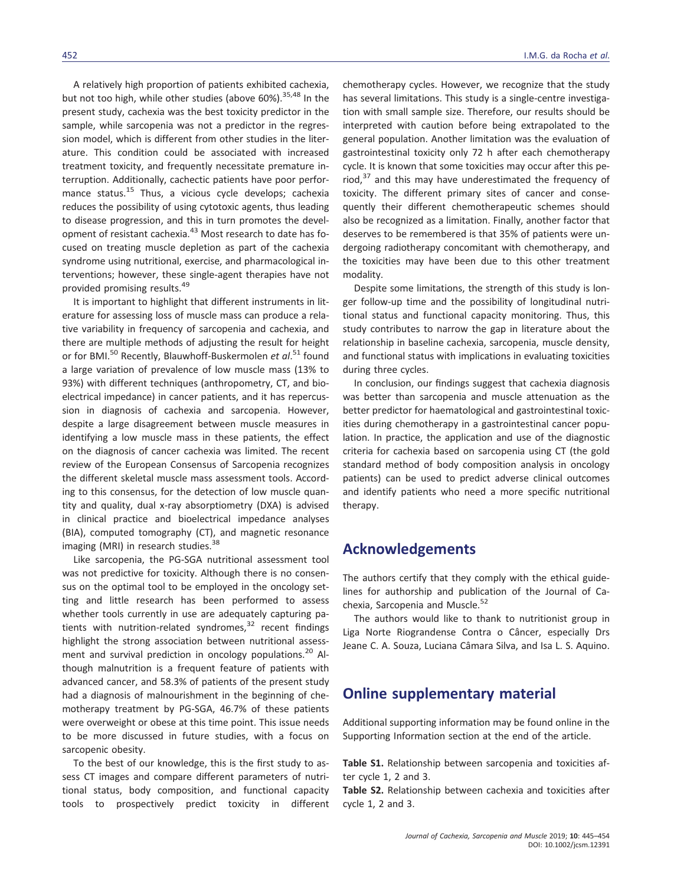A relatively high proportion of patients exhibited cachexia, but not too high, while other studies (above 60%).<sup>35,48</sup> In the present study, cachexia was the best toxicity predictor in the sample, while sarcopenia was not a predictor in the regression model, which is different from other studies in the literature. This condition could be associated with increased treatment toxicity, and frequently necessitate premature interruption. Additionally, cachectic patients have poor performance status.<sup>15</sup> Thus, a vicious cycle develops; cachexia reduces the possibility of using cytotoxic agents, thus leading to disease progression, and this in turn promotes the development of resistant cachexia.<sup>43</sup> Most research to date has focused on treating muscle depletion as part of the cachexia syndrome using nutritional, exercise, and pharmacological interventions; however, these single-agent therapies have not provided promising results.<sup>49</sup>

It is important to highlight that different instruments in literature for assessing loss of muscle mass can produce a relative variability in frequency of sarcopenia and cachexia, and there are multiple methods of adjusting the result for height or for BMI.<sup>50</sup> Recently, Blauwhoff-Buskermolen *et al*.<sup>51</sup> found a large variation of prevalence of low muscle mass (13% to 93%) with different techniques (anthropometry, CT, and bioelectrical impedance) in cancer patients, and it has repercussion in diagnosis of cachexia and sarcopenia. However, despite a large disagreement between muscle measures in identifying a low muscle mass in these patients, the effect on the diagnosis of cancer cachexia was limited. The recent review of the European Consensus of Sarcopenia recognizes the different skeletal muscle mass assessment tools. According to this consensus, for the detection of low muscle quantity and quality, dual x-ray absorptiometry (DXA) is advised in clinical practice and bioelectrical impedance analyses (BIA), computed tomography (CT), and magnetic resonance imaging (MRI) in research studies.<sup>38</sup>

Like sarcopenia, the PG-SGA nutritional assessment tool was not predictive for toxicity. Although there is no consensus on the optimal tool to be employed in the oncology setting and little research has been performed to assess whether tools currently in use are adequately capturing patients with nutrition-related syndromes, $32$  recent findings highlight the strong association between nutritional assessment and survival prediction in oncology populations.<sup>20</sup> Although malnutrition is a frequent feature of patients with advanced cancer, and 58.3% of patients of the present study had a diagnosis of malnourishment in the beginning of chemotherapy treatment by PG-SGA, 46.7% of these patients were overweight or obese at this time point. This issue needs to be more discussed in future studies, with a focus on sarcopenic obesity.

To the best of our knowledge, this is the first study to assess CT images and compare different parameters of nutritional status, body composition, and functional capacity tools to prospectively predict toxicity in different chemotherapy cycles. However, we recognize that the study has several limitations. This study is a single-centre investigation with small sample size. Therefore, our results should be interpreted with caution before being extrapolated to the general population. Another limitation was the evaluation of gastrointestinal toxicity only 72 h after each chemotherapy cycle. It is known that some toxicities may occur after this period, $37$  and this may have underestimated the frequency of toxicity. The different primary sites of cancer and consequently their different chemotherapeutic schemes should also be recognized as a limitation. Finally, another factor that deserves to be remembered is that 35% of patients were undergoing radiotherapy concomitant with chemotherapy, and the toxicities may have been due to this other treatment modality.

Despite some limitations, the strength of this study is longer follow-up time and the possibility of longitudinal nutritional status and functional capacity monitoring. Thus, this study contributes to narrow the gap in literature about the relationship in baseline cachexia, sarcopenia, muscle density, and functional status with implications in evaluating toxicities during three cycles.

In conclusion, our findings suggest that cachexia diagnosis was better than sarcopenia and muscle attenuation as the better predictor for haematological and gastrointestinal toxicities during chemotherapy in a gastrointestinal cancer population. In practice, the application and use of the diagnostic criteria for cachexia based on sarcopenia using CT (the gold standard method of body composition analysis in oncology patients) can be used to predict adverse clinical outcomes and identify patients who need a more specific nutritional therapy.

### **Acknowledgements**

The authors certify that they comply with the ethical guidelines for authorship and publication of the Journal of Cachexia, Sarcopenia and Muscle.<sup>52</sup>

The authors would like to thank to nutritionist group in Liga Norte Riograndense Contra o Câncer, especially Drs Jeane C. A. Souza, Luciana Câmara Silva, and Isa L. S. Aquino.

# **Online supplementary material**

Additional supporting information may be found online in the Supporting Information section at the end of the article.

**Table S1.** Relationship between sarcopenia and toxicities after cycle 1, 2 and 3.

**Table S2.** Relationship between cachexia and toxicities after cycle 1, 2 and 3.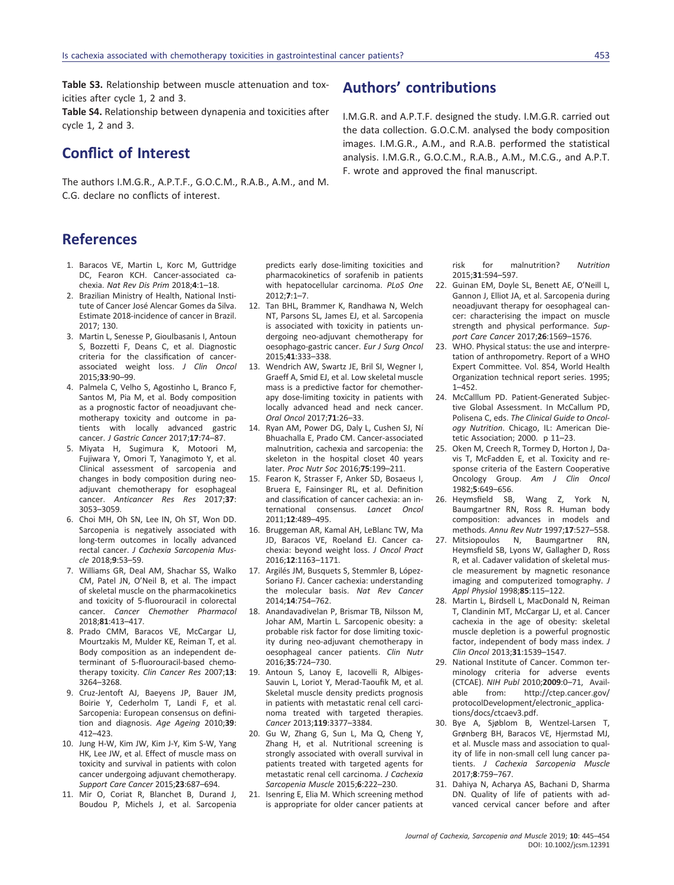**Table S3.** Relationship between muscle attenuation and toxicities after cycle 1, 2 and 3.

**Table S4.** Relationship between dynapenia and toxicities after cycle 1, 2 and 3.

# **Conflict of Interest**

The authors I.M.G.R., A.P.T.F., G.O.C.M., R.A.B., A.M., and M. C.G. declare no conflicts of interest.

# **References**

- 1. Baracos VE, Martin L, Korc M, Guttridge DC, Fearon KCH. Cancer-associated cachexia. *Nat Rev Dis Prim* 2018;**4**:1–18.
- 2. Brazilian Ministry of Health, National Institute of Cancer José Alencar Gomes da Silva. Estimate 2018-incidence of cancer in Brazil. 2017; 130.
- 3. Martin L, Senesse P, Gioulbasanis I, Antoun S, Bozzetti F, Deans C, et al. Diagnostic criteria for the classification of cancerassociated weight loss. *J Clin Oncol* 2015;**33**:90–99.
- 4. Palmela C, Velho S, Agostinho L, Branco F, Santos M, Pia M, et al. Body composition as a prognostic factor of neoadjuvant chemotherapy toxicity and outcome in patients with locally advanced gastric cancer. *J Gastric Cancer* 2017;**17**:74–87.
- 5. Miyata H, Sugimura K, Motoori M, Fujiwara Y, Omori T, Yanagimoto Y, et al. Clinical assessment of sarcopenia and changes in body composition during neoadjuvant chemotherapy for esophageal cancer. *Anticancer Res Res* 2017;**37**: 3053–3059.
- 6. Choi MH, Oh SN, Lee IN, Oh ST, Won DD. Sarcopenia is negatively associated with long-term outcomes in locally advanced rectal cancer. *J Cachexia Sarcopenia Muscle* 2018;**9**:53–59.
- 7. Williams GR, Deal AM, Shachar SS, Walko CM, Patel JN, O'Neil B, et al. The impact of skeletal muscle on the pharmacokinetics and toxicity of 5-fluorouracil in colorectal cancer. *Cancer Chemother Pharmacol* 2018;**81**:413–417.
- 8. Prado CMM, Baracos VE, McCargar LJ, Mourtzakis M, Mulder KE, Reiman T, et al. Body composition as an independent determinant of 5-fluorouracil-based chemotherapy toxicity. *Clin Cancer Res* 2007;**13**: 3264–3268.
- 9. Cruz-Jentoft AJ, Baeyens JP, Bauer JM, Boirie Y, Cederholm T, Landi F, et al. Sarcopenia: European consensus on definition and diagnosis. *Age Ageing* 2010;**39**: 412–423.
- 10. Jung H-W, Kim JW, Kim J-Y, Kim S-W, Yang HK, Lee JW, et al. Effect of muscle mass on toxicity and survival in patients with colon cancer undergoing adjuvant chemotherapy. *Support Care Cancer* 2015;**23**:687–694.
- 11. Mir O, Coriat R, Blanchet B, Durand J, Boudou P, Michels J, et al. Sarcopenia

predicts early dose-limiting toxicities and pharmacokinetics of sorafenib in patients with hepatocellular carcinoma. *PLoS One* 2012;**7**:1–7.

- 12. Tan BHL, Brammer K, Randhawa N, Welch NT, Parsons SL, James EJ, et al. Sarcopenia is associated with toxicity in patients undergoing neo-adjuvant chemotherapy for oesophago-gastric cancer. *Eur J Surg Oncol* 2015;**41**:333–338.
- 13. Wendrich AW, Swartz JE, Bril SI, Wegner I, Graeff A, Smid EJ, et al. Low skeletal muscle mass is a predictive factor for chemotherapy dose-limiting toxicity in patients with locally advanced head and neck cancer. *Oral Oncol* 2017;**71**:26–33.
- 14. Ryan AM, Power DG, Daly L, Cushen SJ, Ní Bhuachalla E, Prado CM. Cancer-associated malnutrition, cachexia and sarcopenia: the skeleton in the hospital closet 40 years later. *Proc Nutr Soc* 2016;**75**:199–211.
- 15. Fearon K, Strasser F, Anker SD, Bosaeus I, Bruera E, Fainsinger RL, et al. Definition and classification of cancer cachexia: an international consensus. *Lancet Oncol* 2011;**12**:489–495.
- 16. Bruggeman AR, Kamal AH, LeBlanc TW, Ma JD, Baracos VE, Roeland EJ. Cancer cachexia: beyond weight loss. *J Oncol Pract* 2016;**12**:1163–1171.
- 17. Argilés JM, Busquets S, Stemmler B, López-Soriano FJ. Cancer cachexia: understanding the molecular basis. *Nat Rev Cancer* 2014;**14**:754–762.
- 18. Anandavadivelan P, Brismar TB, Nilsson M, Johar AM, Martin L. Sarcopenic obesity: a probable risk factor for dose limiting toxicity during neo-adjuvant chemotherapy in oesophageal cancer patients. *Clin Nutr* 2016;**35**:724–730.
- 19. Antoun S, Lanoy E, Iacovelli R, Albiges-Sauvin L, Loriot Y, Merad-Taoufik M, et al. Skeletal muscle density predicts prognosis in patients with metastatic renal cell carcinoma treated with targeted therapies. *Cancer* 2013;**119**:3377–3384.
- 20. Gu W, Zhang G, Sun L, Ma Q, Cheng Y, Zhang H, et al. Nutritional screening is strongly associated with overall survival in patients treated with targeted agents for metastatic renal cell carcinoma. *J Cachexia Sarcopenia Muscle* 2015;**6**:222–230.
- 21. Isenring E, Elia M. Which screening method is appropriate for older cancer patients at

# **Authors' contributions**

I.M.G.R. and A.P.T.F. designed the study. I.M.G.R. carried out the data collection. G.O.C.M. analysed the body composition images. I.M.G.R., A.M., and R.A.B. performed the statistical analysis. I.M.G.R., G.O.C.M., R.A.B., A.M., M.C.G., and A.P.T. F. wrote and approved the final manuscript.

> risk for malnutrition? *Nutrition* 2015;**31**:594–597.

- 22. Guinan EM, Doyle SL, Benett AE, O'Neill L, Gannon J, Elliot JA, et al. Sarcopenia during neoadjuvant therapy for oesophageal cancer: characterising the impact on muscle strength and physical performance. *Support Care Cancer* 2017;**26**:1569–1576.
- 23. WHO. Physical status: the use and interpretation of anthropometry. Report of a WHO Expert Committee. Vol. 854, World Health Organization technical report series. 1995; 1–452.
- 24. McCalllum PD. Patient-Generated Subjective Global Assessment. In McCallum PD, Polisena C, eds. *The Clinical Guide to Oncology Nutrition*. Chicago, IL: American Dietetic Association; 2000. p 11–23.
- 25. Oken M, Creech R, Tormey D, Horton J, Davis T, McFadden E, et al. Toxicity and response criteria of the Eastern Cooperative Oncology Group. *Am J Clin Oncol* 1982;**5**:649–656.
- Wang Z, York N, Baumgartner RN, Ross R. Human body composition: advances in models and methods. *Annu Rev Nutr* 1997;**17**:527–558.
- 27. Mitsiopoulos N, Baumgartner RN, Heymsfield SB, Lyons W, Gallagher D, Ross R, et al. Cadaver validation of skeletal muscle measurement by magnetic resonance imaging and computerized tomography. *J Appl Physiol* 1998;**85**:115–122.
- 28. Martin L, Birdsell L, MacDonald N, Reiman T, Clandinin MT, McCargar LJ, et al. Cancer cachexia in the age of obesity: skeletal muscle depletion is a powerful prognostic factor, independent of body mass index. *J Clin Oncol* 2013;**31**:1539–1547.
- 29. National Institute of Cancer. Common terminology criteria for adverse events (CTCAE). *NIH Publ* 2010;**2009**:0–71, Available from: http://ctep.cancer.gov/ protocolDevelopment/electronic\_applications/docs/ctcaev3.pdf.
- 30. Bye A, Sjøblom B, Wentzel-Larsen T, Grønberg BH, Baracos VE, Hjermstad MJ, et al. Muscle mass and association to quality of life in non-small cell lung cancer patients. *J Cachexia Sarcopenia Muscle* 2017;**8**:759–767.
- 31. Dahiya N, Acharya AS, Bachani D, Sharma DN. Quality of life of patients with advanced cervical cancer before and after